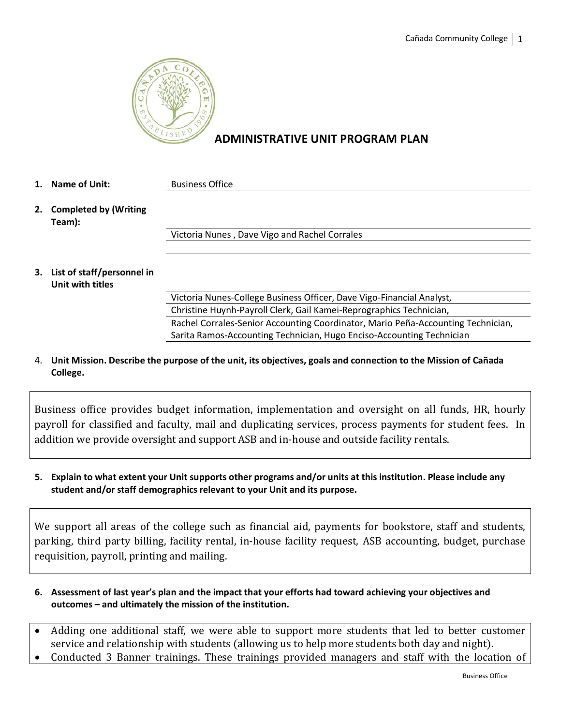

# **ADMINISTRATIVE UNIT PROGRAM PLAN**

- **1. Name of Unit:** Business Office
- **2. Completed by (Writing Team):**

Victoria Nunes , Dave Vigo and Rachel Corrales

**3. List of staff/personnel in Unit with titles**

Victoria Nunes-College Business Officer, Dave Vigo-Financial Analyst, Christine Huynh-Payroll Clerk, Gail Kamei-Reprographics Technician, Rachel Corrales-Senior Accounting Coordinator, Mario Peña-Accounting Technician, Sarita Ramos-Accounting Technician, Hugo Enciso-Accounting Technician

4. **Unit Mission. Describe the purpose of the unit, its objectives, goals and connection to the Mission of Cañada College.**

Business office provides budget information, implementation and oversight on all funds, HR, hourly payroll for classified and faculty, mail and duplicating services, process payments for student fees. In addition we provide oversight and support ASB and in-house and outside facility rentals.

**5. Explain to what extent your Unit supports other programs and/or units at this institution. Please include any student and/or staff demographics relevant to your Unit and its purpose.**

We support all areas of the college such as financial aid, payments for bookstore, staff and students, parking, third party billing, facility rental, in-house facility request, ASB accounting, budget, purchase requisition, payroll, printing and mailing.

- **6. Assessment of last year's plan and the impact that your efforts had toward achieving your objectives and outcomes – and ultimately the mission of the institution.**
- Adding one additional staff, we were able to support more students that led to better customer service and relationship with students (allowing us to help more students both day and night).
- Conducted 3 Banner trainings. These trainings provided managers and staff with the location of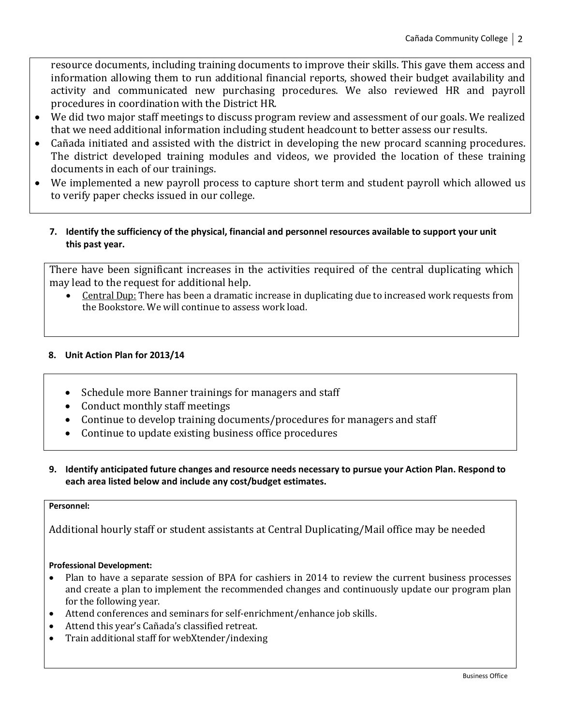resource documents, including training documents to improve their skills. This gave them access and information allowing them to run additional financial reports, showed their budget availability and activity and communicated new purchasing procedures. We also reviewed HR and payroll procedures in coordination with the District HR.

- We did two major staff meetings to discuss program review and assessment of our goals. We realized that we need additional information including student headcount to better assess our results.
- Cañada initiated and assisted with the district in developing the new procard scanning procedures. The district developed training modules and videos, we provided the location of these training documents in each of our trainings.
- We implemented a new payroll process to capture short term and student payroll which allowed us to verify paper checks issued in our college.
	- **7. Identify the sufficiency of the physical, financial and personnel resources available to support your unit this past year.**

There have been significant increases in the activities required of the central duplicating which may lead to the request for additional help.

• Central Dup: There has been a dramatic increase in duplicating due to increased work requests from the Bookstore. We will continue to assess work load.

## **8. Unit Action Plan for 2013/14**

- Schedule more Banner trainings for managers and staff
- Conduct monthly staff meetings
- Continue to develop training documents/procedures for managers and staff
- Continue to update existing business office procedures
- **9. Identify anticipated future changes and resource needs necessary to pursue your Action Plan. Respond to each area listed below and include any cost/budget estimates.**

#### **Personnel:**

Additional hourly staff or student assistants at Central Duplicating/Mail office may be needed

#### **Professional Development:**

- Plan to have a separate session of BPA for cashiers in 2014 to review the current business processes and create a plan to implement the recommended changes and continuously update our program plan for the following year.
- Attend conferences and seminars for self-enrichment/enhance job skills.
- Attend this year's Cañada's classified retreat.
- Train additional staff for webXtender/indexing